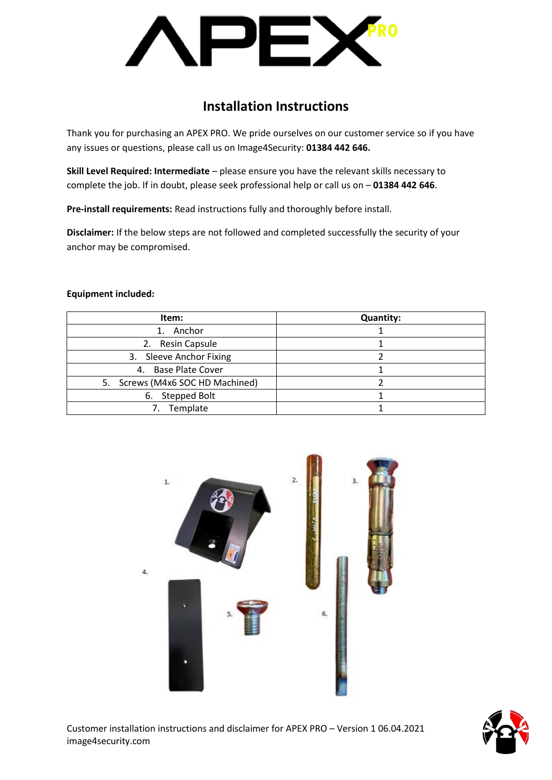JF)

# **Installation Instructions**

Thank you for purchasing an APEX PRO. We pride ourselves on our customer service so if you have any issues or questions, please call us on Image4Security: **01384 442 646.**

**Skill Level Required: Intermediate** – please ensure you have the relevant skills necessary to complete the job. If in doubt, please seek professional help or call us on – **01384 442 646**.

**Pre-install requirements:** Read instructions fully and thoroughly before install.

**Disclaimer:** If the below steps are not followed and completed successfully the security of your anchor may be compromised.

### **Equipment included:**

| Item:                            | <b>Quantity:</b> |
|----------------------------------|------------------|
| Anchor                           |                  |
| <b>Resin Capsule</b><br>2.       |                  |
| 3. Sleeve Anchor Fixing          |                  |
| 4. Base Plate Cover              |                  |
| 5. Screws (M4x6 SOC HD Machined) |                  |
| 6. Stepped Bolt                  |                  |
| Template                         |                  |



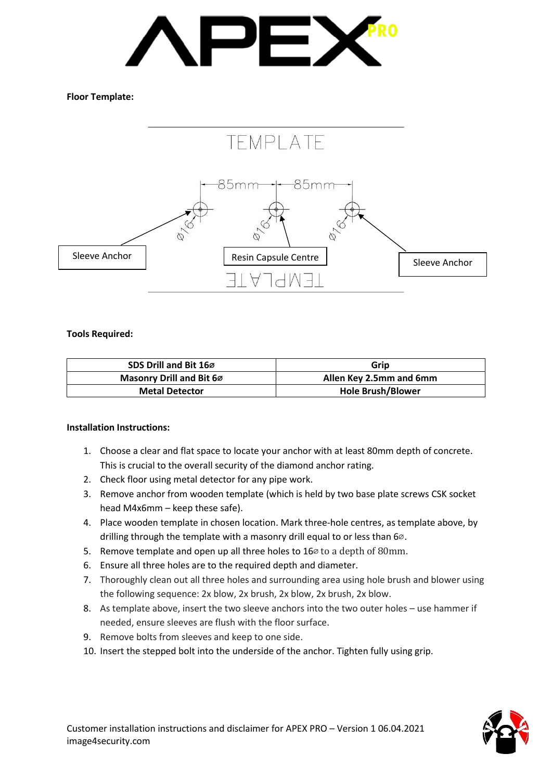

## **Floor Template:**



### **Tools Required:**

| SDS Drill and Bit 160    | Grip                     |
|--------------------------|--------------------------|
| Masonry Drill and Bit 60 | Allen Key 2.5mm and 6mm  |
| <b>Metal Detector</b>    | <b>Hole Brush/Blower</b> |

### **Installation Instructions:**

- 1. Choose a clear and flat space to locate your anchor with at least 80mm depth of concrete. This is crucial to the overall security of the diamond anchor rating.
- 2. Check floor using metal detector for any pipe work.
- 3. Remove anchor from wooden template (which is held by two base plate screws CSK socket head M4x6mm – keep these safe).
- 4. Place wooden template in chosen location. Mark three-hole centres, as template above, by drilling through the template with a masonry drill equal to or less than 6∅.
- 5. Remove template and open up all three holes to  $16\%$  to a depth of 80mm.
- 6. Ensure all three holes are to the required depth and diameter.
- 7. Thoroughly clean out all three holes and surrounding area using hole brush and blower using the following sequence: 2x blow, 2x brush, 2x blow, 2x brush, 2x blow.
- 8. As template above, insert the two sleeve anchors into the two outer holes use hammer if needed, ensure sleeves are flush with the floor surface.
- 9. Remove bolts from sleeves and keep to one side.
- 10. Insert the stepped bolt into the underside of the anchor. Tighten fully using grip.